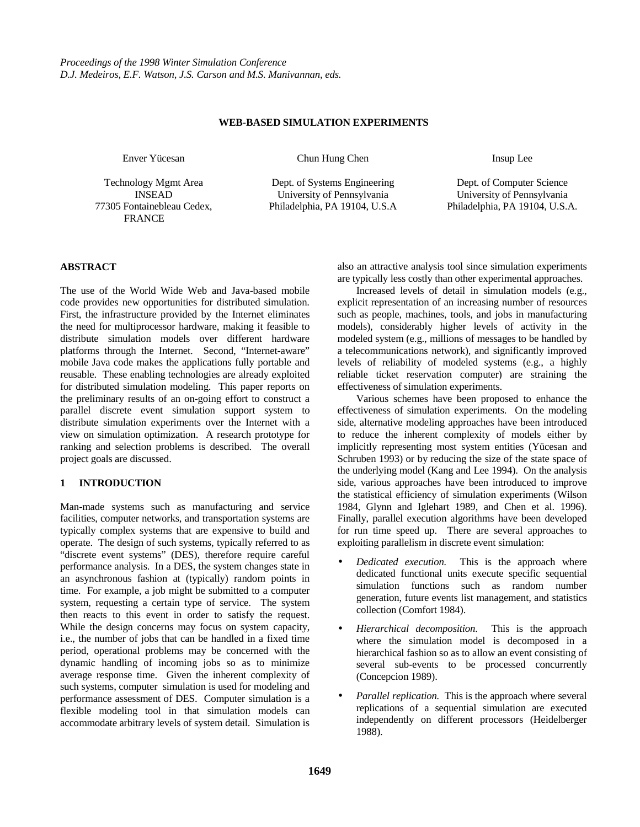### **WEB-BASED SIMULATION EXPERIMENTS**

Enver Yücesan

Technology Mgmt Area INSEAD 77305 Fontainebleau Cedex, FRANCE

Chun Hung Chen

Dept. of Systems Engineering University of Pennsylvania Philadelphia, PA 19104, U.S.A Insup Lee

Dept. of Computer Science University of Pennsylvania Philadelphia, PA 19104, U.S.A.

# **ABSTRACT**

The use of the World Wide Web and Java-based mobile code provides new opportunities for distributed simulation. First, the infrastructure provided by the Internet eliminates the need for multiprocessor hardware, making it feasible to distribute simulation models over different hardware platforms through the Internet. Second, "Internet-aware" mobile Java code makes the applications fully portable and reusable. These enabling technologies are already exploited for distributed simulation modeling. This paper reports on the preliminary results of an on-going effort to construct a parallel discrete event simulation support system to distribute simulation experiments over the Internet with a view on simulation optimization. A research prototype for ranking and selection problems is described. The overall project goals are discussed.

# **1 INTRODUCTION**

Man-made systems such as manufacturing and service facilities, computer networks, and transportation systems are typically complex systems that are expensive to build and operate. The design of such systems, typically referred to as "discrete event systems" (DES), therefore require careful performance analysis. In a DES, the system changes state in an asynchronous fashion at (typically) random points in time. For example, a job might be submitted to a computer system, requesting a certain type of service. The system then reacts to this event in order to satisfy the request. While the design concerns may focus on system capacity, i.e., the number of jobs that can be handled in a fixed time period, operational problems may be concerned with the dynamic handling of incoming jobs so as to minimize average response time. Given the inherent complexity of such systems, computer simulation is used for modeling and performance assessment of DES. Computer simulation is a flexible modeling tool in that simulation models can accommodate arbitrary levels of system detail. Simulation is also an attractive analysis tool since simulation experiments are typically less costly than other experimental approaches.

Increased levels of detail in simulation models (e.g., explicit representation of an increasing number of resources such as people, machines, tools, and jobs in manufacturing models), considerably higher levels of activity in the modeled system (e.g., millions of messages to be handled by a telecommunications network), and significantly improved levels of reliability of modeled systems (e.g., a highly reliable ticket reservation computer) are straining the effectiveness of simulation experiments.

Various schemes have been proposed to enhance the effectiveness of simulation experiments. On the modeling side, alternative modeling approaches have been introduced to reduce the inherent complexity of models either by implicitly representing most system entities (Yücesan and Schruben 1993) or by reducing the size of the state space of the underlying model (Kang and Lee 1994). On the analysis side, various approaches have been introduced to improve the statistical efficiency of simulation experiments (Wilson 1984, Glynn and Iglehart 1989, and Chen et al. 1996). Finally, parallel execution algorithms have been developed for run time speed up. There are several approaches to exploiting parallelism in discrete event simulation:

- *Dedicated execution.* This is the approach where dedicated functional units execute specific sequential simulation functions such as random number generation, future events list management, and statistics collection (Comfort 1984).
- *Hierarchical decomposition.* This is the approach where the simulation model is decomposed in a hierarchical fashion so as to allow an event consisting of several sub-events to be processed concurrently (Concepcion 1989).
- *Parallel replication.* This is the approach where several replications of a sequential simulation are executed independently on different processors (Heidelberger 1988).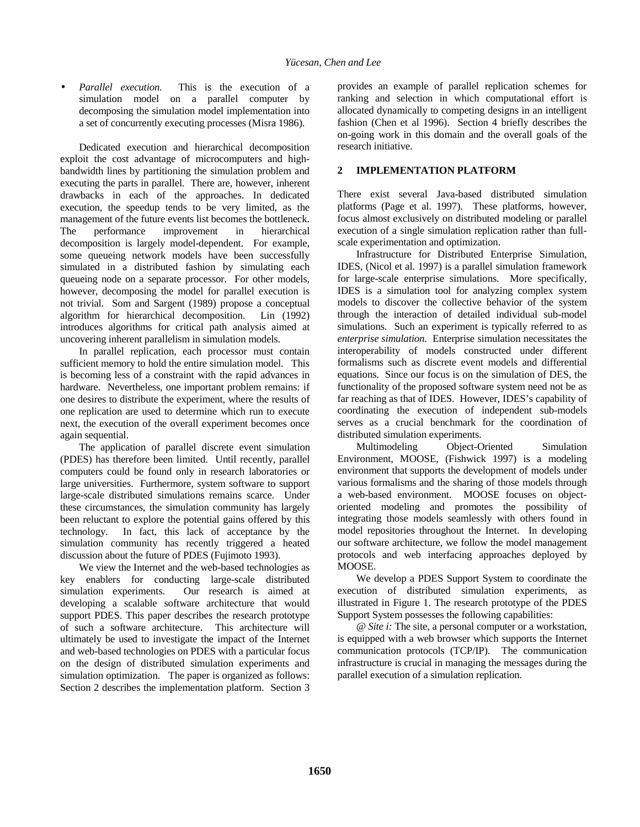• *Parallel execution.* This is the execution of a simulation model on a parallel computer by decomposing the simulation model implementation into a set of concurrently executing processes (Misra 1986).

Dedicated execution and hierarchical decomposition exploit the cost advantage of microcomputers and highbandwidth lines by partitioning the simulation problem and executing the parts in parallel. There are, however, inherent drawbacks in each of the approaches. In dedicated execution, the speedup tends to be very limited, as the management of the future events list becomes the bottleneck. The performance improvement in hierarchical decomposition is largely model-dependent. For example, some queueing network models have been successfully simulated in a distributed fashion by simulating each queueing node on a separate processor. For other models, however, decomposing the model for parallel execution is not trivial. Som and Sargent (1989) propose a conceptual algorithm for hierarchical decomposition. Lin (1992) introduces algorithms for critical path analysis aimed at uncovering inherent parallelism in simulation models.

In parallel replication, each processor must contain sufficient memory to hold the entire simulation model. This is becoming less of a constraint with the rapid advances in hardware. Nevertheless, one important problem remains: if one desires to distribute the experiment, where the results of one replication are used to determine which run to execute next, the execution of the overall experiment becomes once again sequential.

The application of parallel discrete event simulation (PDES) has therefore been limited. Until recently, parallel computers could be found only in research laboratories or large universities. Furthermore, system software to support large-scale distributed simulations remains scarce. Under these circumstances, the simulation community has largely been reluctant to explore the potential gains offered by this technology. In fact, this lack of acceptance by the simulation community has recently triggered a heated discussion about the future of PDES (Fujimoto 1993).

We view the Internet and the web-based technologies as key enablers for conducting large-scale distributed simulation experiments. Our research is aimed at developing a scalable software architecture that would support PDES. This paper describes the research prototype of such a software architecture. This architecture will ultimately be used to investigate the impact of the Internet and web-based technologies on PDES with a particular focus on the design of distributed simulation experiments and simulation optimization. The paper is organized as follows: Section 2 describes the implementation platform. Section 3

provides an example of parallel replication schemes for ranking and selection in which computational effort is allocated dynamically to competing designs in an intelligent fashion (Chen et al 1996). Section 4 briefly describes the on-going work in this domain and the overall goals of the research initiative.

# **2 IMPLEMENTATION PLATFORM**

There exist several Java-based distributed simulation platforms (Page et al. 1997). These platforms, however, focus almost exclusively on distributed modeling or parallel execution of a single simulation replication rather than fullscale experimentation and optimization.

Infrastructure for Distributed Enterprise Simulation, IDES, (Nicol et al. 1997) is a parallel simulation framework for large-scale enterprise simulations. More specifically, IDES is a simulation tool for analyzing complex system models to discover the collective behavior of the system through the interaction of detailed individual sub-model simulations. Such an experiment is typically referred to as *enterprise simulation*. Enterprise simulation necessitates the interoperability of models constructed under different formalisms such as discrete event models and differential equations. Since our focus is on the simulation of DES, the functionality of the proposed software system need not be as far reaching as that of IDES. However, IDES's capability of coordinating the execution of independent sub-models serves as a crucial benchmark for the coordination of distributed simulation experiments.

Multimodeling Object-Oriented Simulation Environment, MOOSE, (Fishwick 1997) is a modeling environment that supports the development of models under various formalisms and the sharing of those models through a web-based environment. MOOSE focuses on objectoriented modeling and promotes the possibility of integrating those models seamlessly with others found in model repositories throughout the Internet. In developing our software architecture, we follow the model management protocols and web interfacing approaches deployed by MOOSE.

We develop a PDES Support System to coordinate the execution of distributed simulation experiments, as illustrated in Figure 1. The research prototype of the PDES Support System possesses the following capabilities:

*@ Site i:* The site, a personal computer or a workstation, is equipped with a web browser which supports the Internet communication protocols (TCP/IP). The communication infrastructure is crucial in managing the messages during the parallel execution of a simulation replication.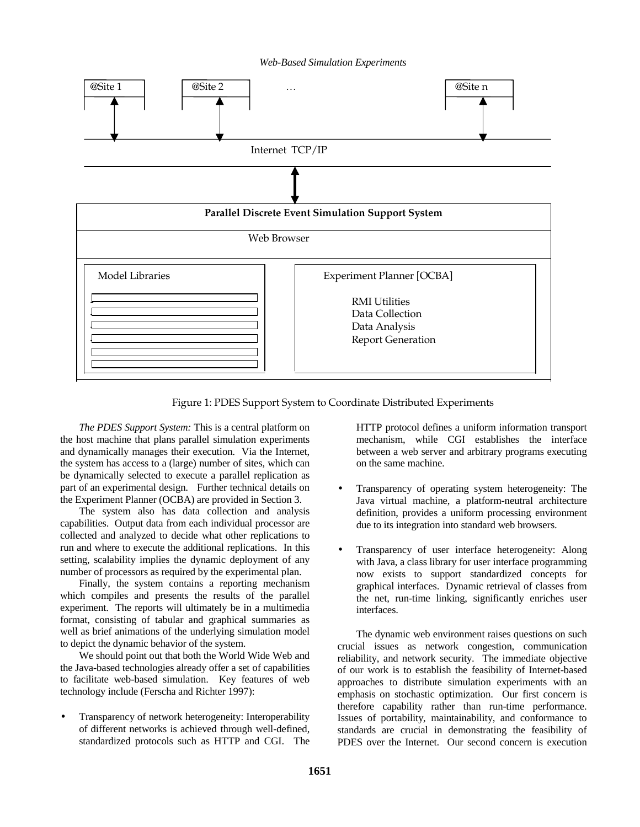#### *Web-Based Simulation Experiments*



Figure 1: PDES Support System to Coordinate Distributed Experiments

*The PDES Support System:* This is a central platform on the host machine that plans parallel simulation experiments and dynamically manages their execution. Via the Internet, the system has access to a (large) number of sites, which can be dynamically selected to execute a parallel replication as part of an experimental design. Further technical details on the Experiment Planner (OCBA) are provided in Section 3.

The system also has data collection and analysis capabilities. Output data from each individual processor are collected and analyzed to decide what other replications to run and where to execute the additional replications. In this setting, scalability implies the dynamic deployment of any number of processors as required by the experimental plan.

Finally, the system contains a reporting mechanism which compiles and presents the results of the parallel experiment. The reports will ultimately be in a multimedia format, consisting of tabular and graphical summaries as well as brief animations of the underlying simulation model to depict the dynamic behavior of the system.

We should point out that both the World Wide Web and the Java-based technologies already offer a set of capabilities to facilitate web-based simulation. Key features of web technology include (Ferscha and Richter 1997):

• Transparency of network heterogeneity: Interoperability of different networks is achieved through well-defined, standardized protocols such as HTTP and CGI. The HTTP protocol defines a uniform information transport mechanism, while CGI establishes the interface between a web server and arbitrary programs executing on the same machine.

- Transparency of operating system heterogeneity: The Java virtual machine, a platform-neutral architecture definition, provides a uniform processing environment due to its integration into standard web browsers.
- Transparency of user interface heterogeneity: Along with Java, a class library for user interface programming now exists to support standardized concepts for graphical interfaces. Dynamic retrieval of classes from the net, run-time linking, significantly enriches user interfaces.

The dynamic web environment raises questions on such crucial issues as network congestion, communication reliability, and network security. The immediate objective of our work is to establish the feasibility of Internet-based approaches to distribute simulation experiments with an emphasis on stochastic optimization. Our first concern is therefore capability rather than run-time performance. Issues of portability, maintainability, and conformance to standards are crucial in demonstrating the feasibility of PDES over the Internet. Our second concern is execution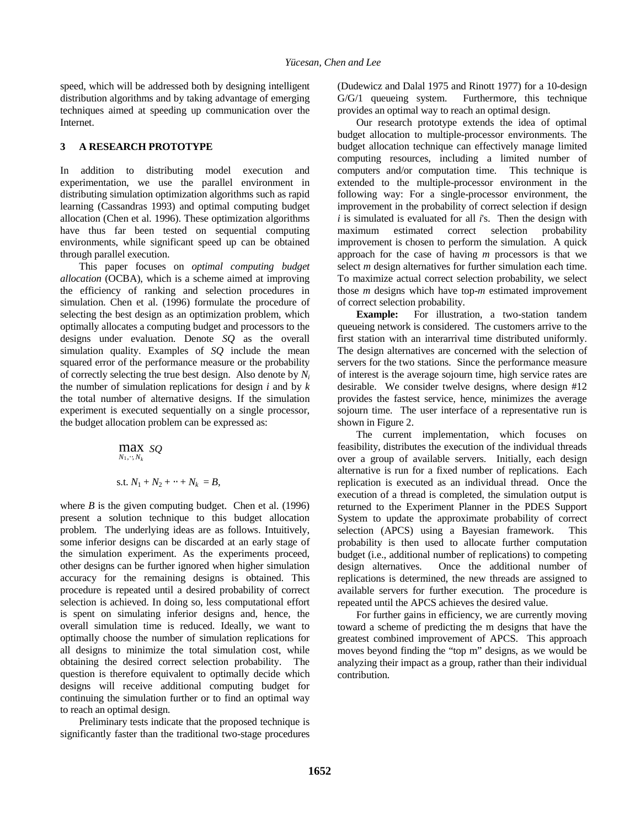speed, which will be addressed both by designing intelligent distribution algorithms and by taking advantage of emerging techniques aimed at speeding up communication over the Internet.

#### **3 A RESEARCH PROTOTYPE**

In addition to distributing model execution and experimentation, we use the parallel environment in distributing simulation optimization algorithms such as rapid learning (Cassandras 1993) and optimal computing budget allocation (Chen et al. 1996). These optimization algorithms have thus far been tested on sequential computing environments, while significant speed up can be obtained through parallel execution.

This paper focuses on *optimal computing budget allocation* (OCBA), which is a scheme aimed at improving the efficiency of ranking and selection procedures in simulation. Chen et al. (1996) formulate the procedure of selecting the best design as an optimization problem, which optimally allocates a computing budget and processors to the designs under evaluation. Denote *SQ* as the overall simulation quality. Examples of *SQ* include the mean squared error of the performance measure or the probability of correctly selecting the true best design. Also denote by *Ni* the number of simulation replications for design *i* and by *k* the total number of alternative designs. If the simulation experiment is executed sequentially on a single processor, the budget allocation problem can be expressed as:

$$
\max_{N_1, \dots, N_k} sQ
$$
  
s.t.  $N_1 + N_2 + \dots + N_k = B$ ,

where  $B$  is the given computing budget. Chen et al. (1996) present a solution technique to this budget allocation problem. The underlying ideas are as follows. Intuitively, some inferior designs can be discarded at an early stage of the simulation experiment. As the experiments proceed, other designs can be further ignored when higher simulation accuracy for the remaining designs is obtained. This procedure is repeated until a desired probability of correct selection is achieved. In doing so, less computational effort is spent on simulating inferior designs and, hence, the overall simulation time is reduced. Ideally, we want to optimally choose the number of simulation replications for all designs to minimize the total simulation cost, while obtaining the desired correct selection probability. The question is therefore equivalent to optimally decide which designs will receive additional computing budget for continuing the simulation further or to find an optimal way to reach an optimal design.

Preliminary tests indicate that the proposed technique is significantly faster than the traditional two-stage procedures (Dudewicz and Dalal 1975 and Rinott 1977) for a 10-design G/G/1 queueing system. Furthermore, this technique provides an optimal way to reach an optimal design.

Our research prototype extends the idea of optimal budget allocation to multiple-processor environments. The budget allocation technique can effectively manage limited computing resources, including a limited number of computers and/or computation time. This technique is extended to the multiple-processor environment in the following way: For a single-processor environment, the improvement in the probability of correct selection if design *i* is simulated is evaluated for all *i*'s. Then the design with maximum estimated correct selection probability improvement is chosen to perform the simulation. A quick approach for the case of having *m* processors is that we select *m* design alternatives for further simulation each time. To maximize actual correct selection probability, we select those *m* designs which have top-*m* estimated improvement of correct selection probability.

**Example:** For illustration, a two-station tandem queueing network is considered. The customers arrive to the first station with an interarrival time distributed uniformly. The design alternatives are concerned with the selection of servers for the two stations. Since the performance measure of interest is the average sojourn time, high service rates are desirable. We consider twelve designs, where design #12 provides the fastest service, hence, minimizes the average sojourn time. The user interface of a representative run is shown in Figure 2.

The current implementation, which focuses on feasibility, distributes the execution of the individual threads over a group of available servers. Initially, each design alternative is run for a fixed number of replications. Each replication is executed as an individual thread. Once the execution of a thread is completed, the simulation output is returned to the Experiment Planner in the PDES Support System to update the approximate probability of correct selection (APCS) using a Bayesian framework. This probability is then used to allocate further computation budget (i.e., additional number of replications) to competing design alternatives. Once the additional number of replications is determined, the new threads are assigned to available servers for further execution. The procedure is repeated until the APCS achieves the desired value.

For further gains in efficiency, we are currently moving toward a scheme of predicting the m designs that have the greatest combined improvement of APCS. This approach moves beyond finding the "top m" designs, as we would be analyzing their impact as a group, rather than their individual contribution.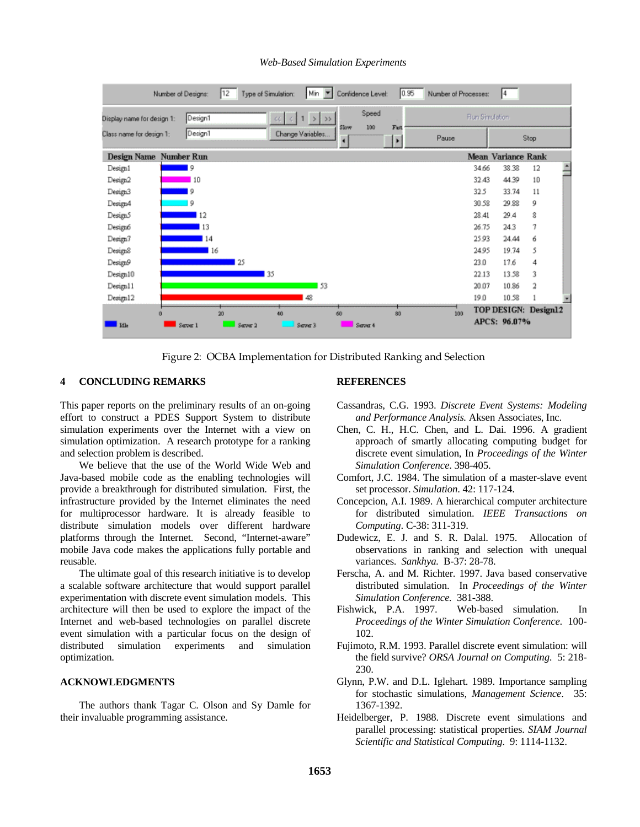

### *Web-Based Simulation Experiments*

Figure 2: OCBA Implementation for Distributed Ranking and Selection

## **4 CONCLUDING REMARKS**

This paper reports on the preliminary results of an on-going effort to construct a PDES Support System to distribute simulation experiments over the Internet with a view on simulation optimization. A research prototype for a ranking and selection problem is described.

We believe that the use of the World Wide Web and Java-based mobile code as the enabling technologies will provide a breakthrough for distributed simulation. First, the infrastructure provided by the Internet eliminates the need for multiprocessor hardware. It is already feasible to distribute simulation models over different hardware platforms through the Internet. Second, "Internet-aware" mobile Java code makes the applications fully portable and reusable.

The ultimate goal of this research initiative is to develop a scalable software architecture that would support parallel experimentation with discrete event simulation models. This architecture will then be used to explore the impact of the Internet and web-based technologies on parallel discrete event simulation with a particular focus on the design of distributed simulation experiments and simulation optimization.

## **ACKNOWLEDGMENTS**

The authors thank Tagar C. Olson and Sy Damle for their invaluable programming assistance.

## **REFERENCES**

- Cassandras, C.G. 1993. *Discrete Event Systems: Modeling and Performance Analysis.* Aksen Associates, Inc.
- Chen, C. H., H.C. Chen, and L. Dai. 1996. A gradient approach of smartly allocating computing budget for discrete event simulation, In *Proceedings of the Winter Simulation Conference*. 398-405.
- Comfort, J.C. 1984. The simulation of a master-slave event set processor. *Simulation*. 42: 117-124.
- Concepcion, A.I. 1989. A hierarchical computer architecture for distributed simulation. *IEEE Transactions on Computing*. C-38: 311-319.
- Dudewicz, E. J. and S. R. Dalal. 1975. Allocation of observations in ranking and selection with unequal variances. *Sankhya.* B-37: 28-78.
- Ferscha, A. and M. Richter. 1997. Java based conservative distributed simulation. In *Proceedings of the Winter Simulation Conference.* 381-388.
- Fishwick, P.A. 1997. Web-based simulation. In *Proceedings of the Winter Simulation Conference*. 100- 102.
- Fujimoto, R.M. 1993. Parallel discrete event simulation: will the field survive? *ORSA Journal on Computing*. 5: 218- 230.
- Glynn, P.W. and D.L. Iglehart. 1989. Importance sampling for stochastic simulations, *Management Science*. 35: 1367-1392.
- Heidelberger, P. 1988. Discrete event simulations and parallel processing: statistical properties. *SIAM Journal Scientific and Statistical Computing*. 9: 1114-1132.